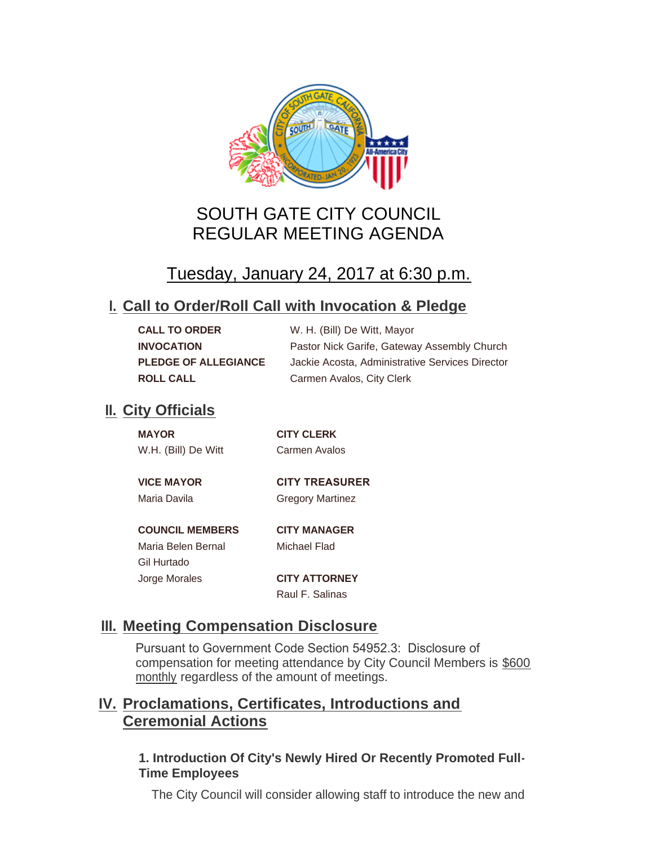

# SOUTH GATE CITY COUNCIL REGULAR MEETING AGENDA

# Tuesday, January 24, 2017 at 6:30 p.m.

## **Call to Order/Roll Call with Invocation & Pledge I.**

| <b>CALL TO ORDER</b>        | W. H. (Bill) De Witt, Mayor                     |
|-----------------------------|-------------------------------------------------|
| <b>INVOCATION</b>           | Pastor Nick Garife, Gateway Assembly Church     |
| <b>PLEDGE OF ALLEGIANCE</b> | Jackie Acosta, Administrative Services Director |
| <b>ROLL CALL</b>            | Carmen Avalos, City Clerk                       |

## **II.** City Officials

| <b>MAYOR</b>           | <b>CITY CLERK</b>       |
|------------------------|-------------------------|
| W.H. (Bill) De Witt    | Carmen Avalos           |
|                        |                         |
| <b>VICE MAYOR</b>      | <b>CITY TREASURER</b>   |
| Maria Davila           | <b>Gregory Martinez</b> |
|                        |                         |
| <b>COUNCIL MEMBERS</b> | <b>CITY MANAGER</b>     |
| Maria Belen Bernal     | Michael Flad            |
| Gil Hurtado            |                         |

Jorge Morales **CITY ATTORNEY** Raul F. Salinas

## **Meeting Compensation Disclosure III.**

Pursuant to Government Code Section 54952.3: Disclosure of compensation for meeting attendance by City Council Members is \$600 monthly regardless of the amount of meetings.

## **Proclamations, Certificates, Introductions and IV. Ceremonial Actions**

## **1. Introduction Of City's Newly Hired Or Recently Promoted Full-Time Employees**

The City Council will consider allowing staff to introduce the new and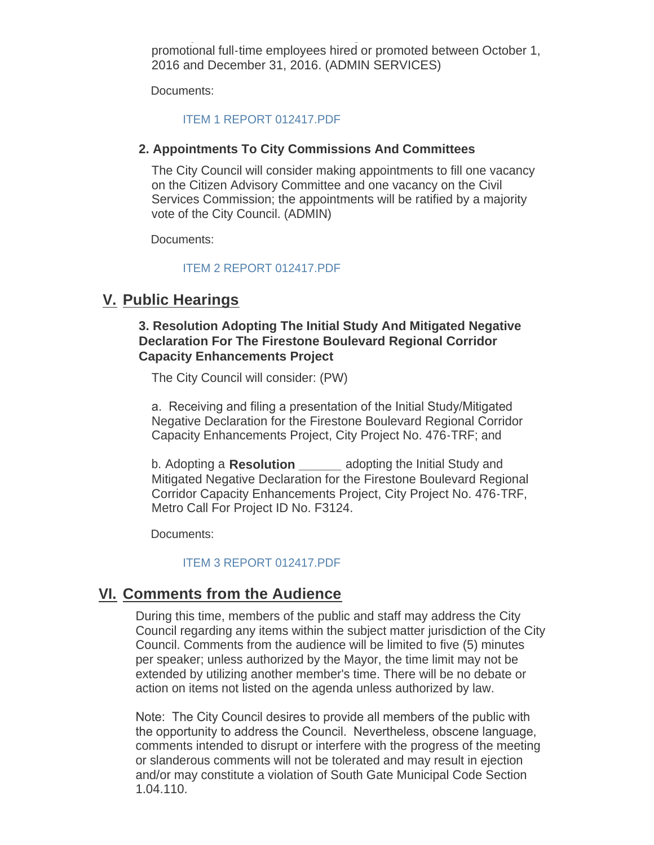The City Council will consider allowing staff to internal  $\mathcal{L}_\mathbf{C}$  to introduce the new and new and new and promotional full-time employees hired or promoted between October 1, 2016 and December 31, 2016. (ADMIN SERVICES)

Documents:

#### [ITEM 1 REPORT 012417.PDF](http://ca-southgate.civicplus.com/AgendaCenter/ViewFile/Item/3571?fileID=8889)

#### **2. Appointments To City Commissions And Committees**

The City Council will consider making appointments to fill one vacancy on the Citizen Advisory Committee and one vacancy on the Civil Services Commission; the appointments will be ratified by a majority vote of the City Council. (ADMIN)

Documents:

#### [ITEM 2 REPORT 012417.PDF](http://ca-southgate.civicplus.com/AgendaCenter/ViewFile/Item/3570?fileID=8888)

### **Public Hearings V.**

#### **3. Resolution Adopting The Initial Study And Mitigated Negative Declaration For The Firestone Boulevard Regional Corridor Capacity Enhancements Project**

The City Council will consider: (PW)

a. Receiving and filing a presentation of the Initial Study/Mitigated Negative Declaration for the Firestone Boulevard Regional Corridor Capacity Enhancements Project, City Project No. 476-TRF; and

b. Adopting a **Resolution \_\_\_\_\_\_** adopting the Initial Study and Mitigated Negative Declaration for the Firestone Boulevard Regional Corridor Capacity Enhancements Project, City Project No. 476-TRF, Metro Call For Project ID No. F3124.

Documents:

#### [ITEM 3 REPORT 012417.PDF](http://ca-southgate.civicplus.com/AgendaCenter/ViewFile/Item/3567?fileID=8886)

## **Comments from the Audience VI.**

During this time, members of the public and staff may address the City Council regarding any items within the subject matter jurisdiction of the City Council. Comments from the audience will be limited to five (5) minutes per speaker; unless authorized by the Mayor, the time limit may not be extended by utilizing another member's time. There will be no debate or action on items not listed on the agenda unless authorized by law.

Note: The City Council desires to provide all members of the public with the opportunity to address the Council. Nevertheless, obscene language, comments intended to disrupt or interfere with the progress of the meeting or slanderous comments will not be tolerated and may result in ejection and/or may constitute a violation of South Gate Municipal Code Section 1.04.110.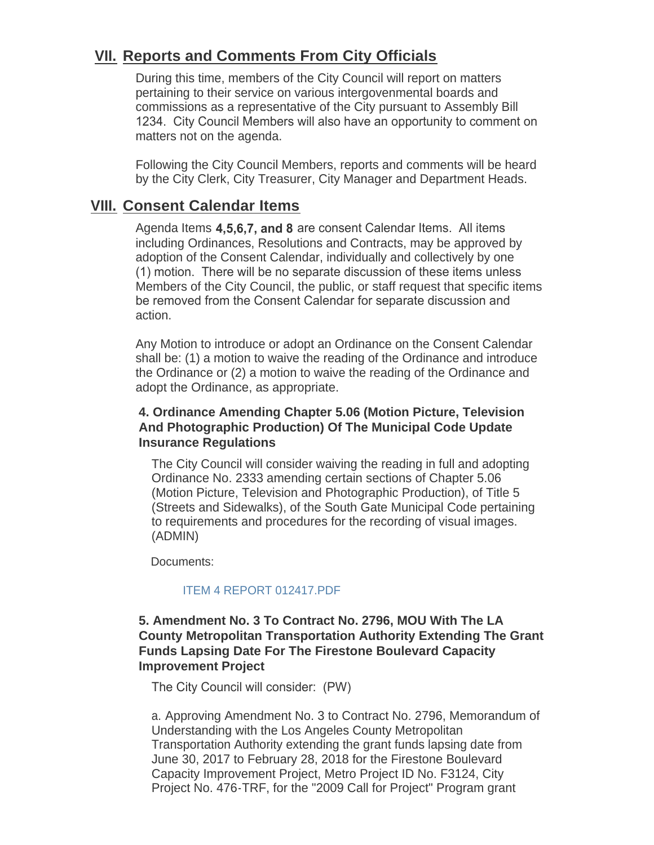## **Reports and Comments From City Officials VII.**

During this time, members of the City Council will report on matters pertaining to their service on various intergovenmental boards and commissions as a representative of the City pursuant to Assembly Bill 1234. City Council Members will also have an opportunity to comment on matters not on the agenda.

Following the City Council Members, reports and comments will be heard by the City Clerk, City Treasurer, City Manager and Department Heads.

## **Consent Calendar Items VIII.**

Agenda Items **4,5,6,7, and 8** are consent Calendar Items. All items including Ordinances, Resolutions and Contracts, may be approved by adoption of the Consent Calendar, individually and collectively by one (1) motion. There will be no separate discussion of these items unless Members of the City Council, the public, or staff request that specific items be removed from the Consent Calendar for separate discussion and action.

Any Motion to introduce or adopt an Ordinance on the Consent Calendar shall be: (1) a motion to waive the reading of the Ordinance and introduce the Ordinance or (2) a motion to waive the reading of the Ordinance and adopt the Ordinance, as appropriate.

### **4. Ordinance Amending Chapter 5.06 (Motion Picture, Television And Photographic Production) Of The Municipal Code Update Insurance Regulations**

The City Council will consider waiving the reading in full and adopting Ordinance No. 2333 amending certain sections of Chapter 5.06 (Motion Picture, Television and Photographic Production), of Title 5 (Streets and Sidewalks), of the South Gate Municipal Code pertaining to requirements and procedures for the recording of visual images. (ADMIN)

Documents:

#### [ITEM 4 REPORT 012417.PDF](http://ca-southgate.civicplus.com/AgendaCenter/ViewFile/Item/3566?fileID=8885)

### **5. Amendment No. 3 To Contract No. 2796, MOU With The LA County Metropolitan Transportation Authority Extending The Grant Funds Lapsing Date For The Firestone Boulevard Capacity Improvement Project**

The City Council will consider: (PW)

a. Approving Amendment No. 3 to Contract No. 2796, Memorandum of Understanding with the Los Angeles County Metropolitan Transportation Authority extending the grant funds lapsing date from June 30, 2017 to February 28, 2018 for the Firestone Boulevard Capacity Improvement Project, Metro Project ID No. F3124, City Project No. 476-TRF, for the "2009 Call for Project" Program grant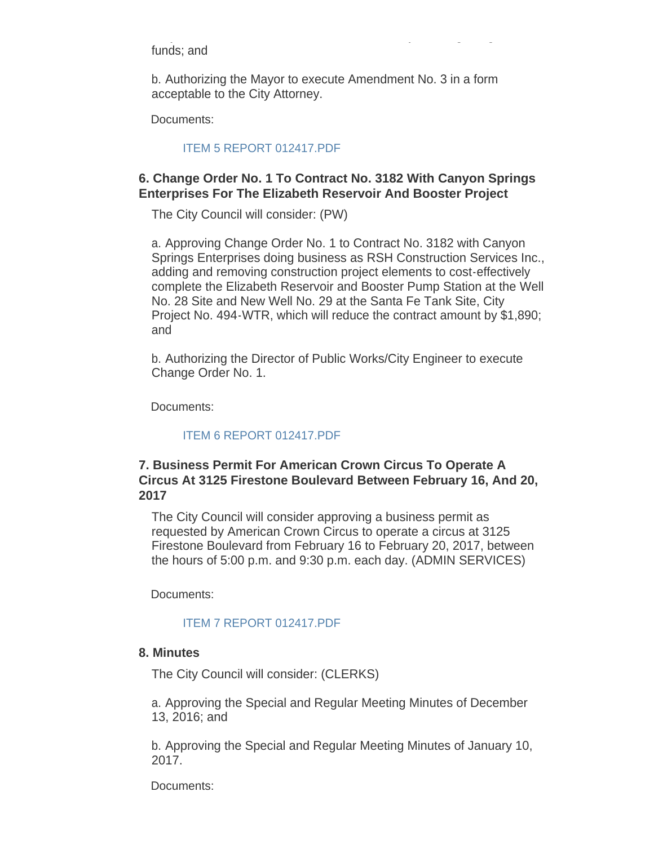funds; and

b. Authorizing the Mayor to execute Amendment No. 3 in a form acceptable to the City Attorney.

Project No. 476-TRF, for the "2009 Call for Project" Program grant

Documents:

#### [ITEM 5 REPORT 012417.PDF](http://ca-southgate.civicplus.com/AgendaCenter/ViewFile/Item/3565?fileID=8884)

### **6. Change Order No. 1 To Contract No. 3182 With Canyon Springs Enterprises For The Elizabeth Reservoir And Booster Project**

The City Council will consider: (PW)

a. Approving Change Order No. 1 to Contract No. 3182 with Canyon Springs Enterprises doing business as RSH Construction Services Inc., adding and removing construction project elements to cost-effectively complete the Elizabeth Reservoir and Booster Pump Station at the Well No. 28 Site and New Well No. 29 at the Santa Fe Tank Site, City Project No. 494-WTR, which will reduce the contract amount by \$1,890; and

b. Authorizing the Director of Public Works/City Engineer to execute Change Order No. 1.

Documents:

#### [ITEM 6 REPORT 012417.PDF](http://ca-southgate.civicplus.com/AgendaCenter/ViewFile/Item/3564?fileID=8883)

### **7. Business Permit For American Crown Circus To Operate A Circus At 3125 Firestone Boulevard Between February 16, And 20, 2017**

The City Council will consider approving a business permit as requested by American Crown Circus to operate a circus at 3125 Firestone Boulevard from February 16 to February 20, 2017, between the hours of 5:00 p.m. and 9:30 p.m. each day. (ADMIN SERVICES)

Documents:

### [ITEM 7 REPORT 012417.PDF](http://ca-southgate.civicplus.com/AgendaCenter/ViewFile/Item/3563?fileID=8882)

#### **8. Minutes**

The City Council will consider: (CLERKS)

a. Approving the Special and Regular Meeting Minutes of December 13, 2016; and

b. Approving the Special and Regular Meeting Minutes of January 10, 2017.

Documents: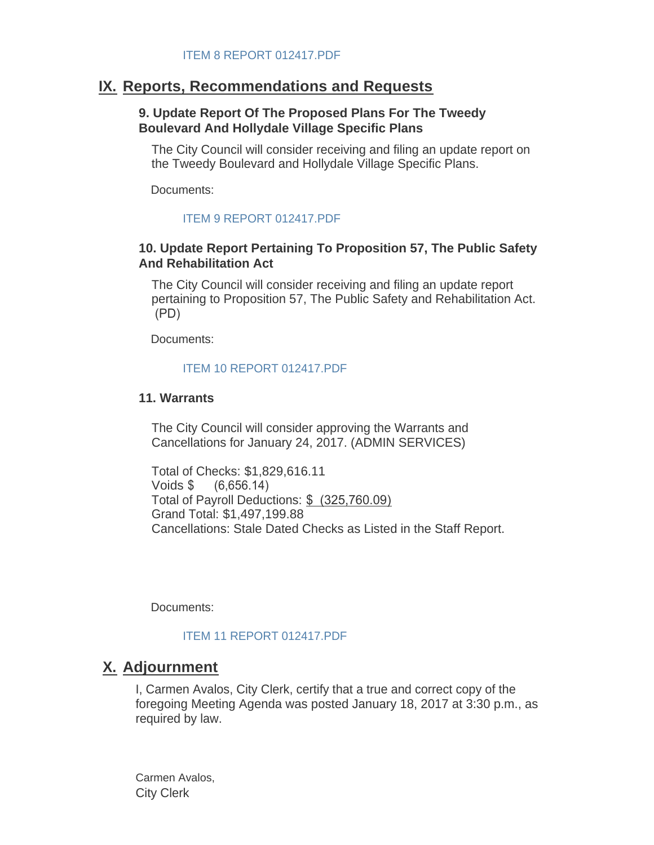## **IX. Reports, Recommendations and Requests**

#### **9. Update Report Of The Proposed Plans For The Tweedy Boulevard And Hollydale Village Specific Plans**

The City Council will consider receiving and filing an update report on the Tweedy Boulevard and Hollydale Village Specific Plans.

Documents:

### [ITEM 9 REPORT 012417.PDF](http://ca-southgate.civicplus.com/AgendaCenter/ViewFile/Item/3562?fileID=8881)

### **10. Update Report Pertaining To Proposition 57, The Public Safety And Rehabilitation Act**

The City Council will consider receiving and filing an update report pertaining to Proposition 57, The Public Safety and Rehabilitation Act. (PD)

Documents:

### [ITEM 10 REPORT 012417.PDF](http://ca-southgate.civicplus.com/AgendaCenter/ViewFile/Item/3561?fileID=8880)

#### **11. Warrants**

The City Council will consider approving the Warrants and Cancellations for January 24, 2017. (ADMIN SERVICES)

Total of Checks: \$1,829,616.11 Voids \$ (6,656.14) Total of Payroll Deductions: \$ (325,760.09) Grand Total: \$1,497,199.88 Cancellations: Stale Dated Checks as Listed in the Staff Report.

Documents:

### [ITEM 11 REPORT 012417.PDF](http://ca-southgate.civicplus.com/AgendaCenter/ViewFile/Item/3568?fileID=8887)

## **Adjournment X.**

I, Carmen Avalos, City Clerk, certify that a true and correct copy of the foregoing Meeting Agenda was posted January 18, 2017 at 3:30 p.m., as required by law.

Carmen Avalos, City Clerk